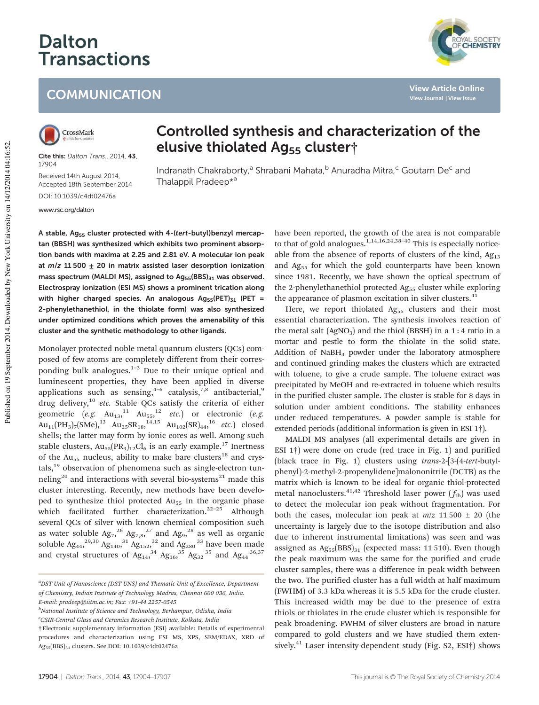# Dalton **Transactions**

## **COMMUNICATION**



**View Article Online View Journal | View Issue**



Cite this: Dalton Trans., 2014, 43, 17904

Received 14th August 2014, Accepted 18th September 2014

DOI: 10.1039/c4dt02476a

www.rsc.org/dalton

### Controlled synthesis and characterization of the elusive thiolated Ag<sub>55</sub> cluster<sup>†</sup>

Indranath Chakraborty,<sup>a</sup> Shrabani Mahata,<sup>b</sup> Anuradha Mitra,<sup>c</sup> Goutam De<sup>c</sup> and Thalappil Pradeep\*<sup>a</sup>

A stable, Ag<sub>55</sub> cluster protected with 4-(tert-butyl)benzyl mercaptan (BBSH) was synthesized which exhibits two prominent absorption bands with maxima at 2.25 and 2.81 eV. A molecular ion peak at  $m/z$  11 500  $+$  20 in matrix assisted laser desorption ionization mass spectrum (MALDI MS), assigned to  $Ag_{55}(BBS)_{31}$  was observed. Electrospray ionization (ESI MS) shows a prominent trication along with higher charged species. An analogous  $Ag_{55}(PET)_{31}$  (PET = 2-phenylethanethiol, in the thiolate form) was also synthesized under optimized conditions which proves the amenability of this cluster and the synthetic methodology to other ligands.

Monolayer protected noble metal quantum clusters (QCs) composed of few atoms are completely different from their corresponding bulk analogues. $1-3$  Due to their unique optical and luminescent properties, they have been applied in diverse applications such as sensing,  $4-6$  catalysis,  $7,8$  antibacterial,  $9$ drug delivery,<sup>10</sup> *etc.* Stable QCs satisfy the criteria of either geometric  $(e.g. \text{Au}_{13},^{11} \text{Au}_{55},^{12} \text{etc.})$  or electronic  $(e.g.$  $\text{Au}_{11}(\text{PH}_3)_{7}(\text{SMe})$ ,  $^{13}$   $\text{Au}_{25}\text{SR}_{18}$ ,  $^{14,15}$   $\text{Au}_{102}(\text{SR})_{44}$ ,  $^{16}$  *etc.*) closed shells; the latter may form by ionic cores as well. Among such stable clusters,  $Au_{55}(PR_3)_{12}Cl_6$  is an early example.<sup>17</sup> Inertness of the  $Au_{55}$  nucleus, ability to make bare clusters<sup>18</sup> and crys $tals$ <sup>19</sup> observation of phenomena such as single-electron tunneling<sup>20</sup> and interactions with several bio-systems<sup>21</sup> made this cluster interesting. Recently, new methods have been developed to synthesize thiol protected Au<sub>55</sub> in the organic phase which facilitated further characterization.<sup>22-25</sup> Although several QCs of silver with known chemical composition such as water soluble  $Ag_7^{26} Ag_{7,8}^{27}$  and  $Ag_9^{28}$  as well as organic soluble  $Ag_{44}^{29,30} Ag_{140}^{31} Ag_{152}^{32}$  and  $Ag_{280}^{33}$  have been made and crystal structures of  $Ag_{14}^{\ 34}$   $Ag_{16}^{\ 35}$   $Ag_{32}^{\ 35}$  and  $Ag_{44}^{\ 36,37}$ 

*<sup>c</sup>CSIR-Central Glass and Ceramics Research Institute, Kolkata, India*

have been reported, the growth of the area is not comparable to that of gold analogues.<sup>1,14,16,24,38-40</sup> This is especially noticeable from the absence of reports of clusters of the kind,  $Ag<sub>13</sub>$ and Ag<sub>55</sub> for which the gold counterparts have been known since 1981. Recently, we have shown the optical spectrum of the 2-phenylethanethiol protected Ag<sub>55</sub> cluster while exploring the appearance of plasmon excitation in silver clusters.<sup>41</sup>

Here, we report thiolated  $Ag_{55}$  clusters and their most essential characterization. The synthesis involves reaction of the metal salt  $(AgNO<sub>3</sub>)$  and the thiol (BBSH) in a 1:4 ratio in a mortar and pestle to form the thiolate in the solid state. Addition of NaBH<sup>4</sup> powder under the laboratory atmosphere and continued grinding makes the clusters which are extracted with toluene, to give a crude sample. The toluene extract was precipitated by MeOH and re-extracted in toluene which results in the purified cluster sample. The cluster is stable for 8 days in solution under ambient conditions. The stability enhances under reduced temperatures. A powder sample is stable for extended periods (additional information is given in ESI 1†).

MALDI MS analyses (all experimental details are given in ESI 1†) were done on crude (red trace in Fig. 1) and purified (black trace in Fig. 1) clusters using *trans*-2-[3-(4-*tert*-butylphenyl)-2-methyl-2-propenylidene]malononitrile (DCTB) as the matrix which is known to be ideal for organic thiol-protected metal nanoclusters.<sup>41,42</sup> Threshold laser power  $(f_{th})$  was used to detect the molecular ion peak without fragmentation. For both the cases, molecular ion peak at  $m/z$  11 500  $\pm$  20 (the uncertainty is largely due to the isotope distribution and also due to inherent instrumental limitations) was seen and was assigned as  $Ag_{55}(BBS)_{31}$  (expected mass: 11 510). Even though the peak maximum was the same for the purified and crude cluster samples, there was a difference in peak width between the two. The purified cluster has a full width at half maximum (FWHM) of 3.3 kDa whereas it is 5.5 kDa for the crude cluster. This increased width may be due to the presence of extra thiols or thiolates in the crude cluster which is responsible for peak broadening. FWHM of silver clusters are broad in nature compared to gold clusters and we have studied them extensively.<sup>41</sup> Laser intensity-dependent study (Fig. S2, ESI†) shows

*<sup>a</sup>DST Unit of Nanoscience (DST UNS) and Thematic Unit of Excellence, Department of Chemistry, Indian Institute of Technology Madras, Chennai 600 036, India. E-mail: pradeep@iitm.ac.in; Fax: +91-44 2257-0545*

*<sup>b</sup>National Institute of Science and Technology, Berhampur, Odisha, India*

<sup>†</sup>Electronic supplementary information (ESI) available: Details of experimental procedures and characterization using ESI MS, XPS, SEM/EDAX, XRD of Ag55(BBS)<sup>31</sup> clusters. See DOI: 10.1039/c4dt02476a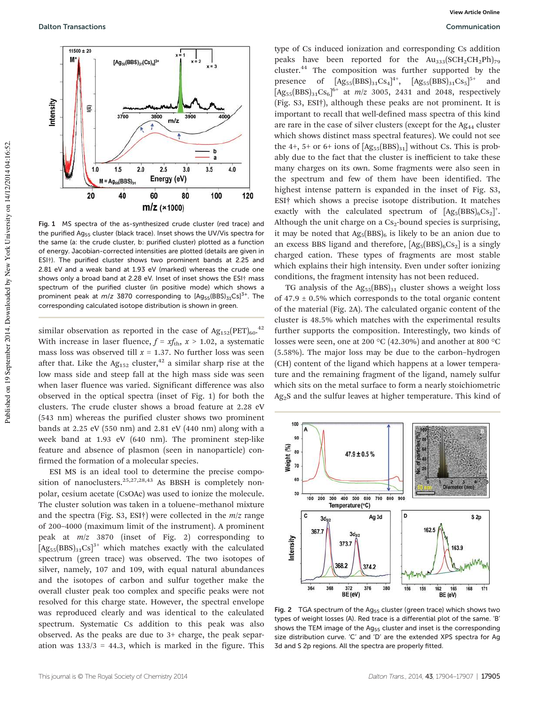

Fig. 1 MS spectra of the as-synthesized crude cluster (red trace) and the purified Ag<sub>55</sub> cluster (black trace). Inset shows the UV/Vis spectra for the same (a: the crude cluster, b: purified cluster) plotted as a function of energy. Jacobian-corrected intensities are plotted (details are given in ESI†). The purified cluster shows two prominent bands at 2.25 and 2.81 eV and a weak band at 1.93 eV (marked) whereas the crude one shows only a broad band at 2.28 eV. Inset of inset shows the ESI† mass spectrum of the purified cluster (in positive mode) which shows a prominent peak at  $m/z$  3870 corresponding to  $[Ag_{55}(BBS)_{31}Cs]^{3+}$ . The corresponding calculated isotope distribution is shown in green.

similar observation as reported in the case of  $Ag_{152}(PET)_{60}.^{42}$ With increase in laser fluence,  $f = x f_{\text{th}}$ ,  $x > 1.02$ , a systematic mass loss was observed till  $x = 1.37$ . No further loss was seen after that. Like the  $Ag<sub>152</sub>$  cluster,<sup>42</sup> a similar sharp rise at the low mass side and steep fall at the high mass side was seen when laser fluence was varied. Significant difference was also observed in the optical spectra (inset of Fig. 1) for both the clusters. The crude cluster shows a broad feature at 2.28 eV (543 nm) whereas the purified cluster shows two prominent bands at 2.25 eV (550 nm) and 2.81 eV (440 nm) along with a week band at 1.93 eV (640 nm). The prominent step-like feature and absence of plasmon (seen in nanoparticle) confirmed the formation of a molecular species.

ESI MS is an ideal tool to determine the precise composition of nanoclusters.<sup>25,27,28,43</sup> As BBSH is completely nonpolar, cesium acetate (CsOAc) was used to ionize the molecule. The cluster solution was taken in a toluene–methanol mixture and the spectra (Fig. S3, ESI†) were collected in the *m*/*z* range of 200–4000 (maximum limit of the instrument). A prominent peak at *m*/*z* 3870 (inset of Fig. 2) corresponding to  $[Ag_{55}(BBS)_{31}Cs]^{3+}$  which matches exactly with the calculated spectrum (green trace) was observed. The two isotopes of silver, namely, 107 and 109, with equal natural abundances and the isotopes of carbon and sulfur together make the overall cluster peak too complex and specific peaks were not resolved for this charge state. However, the spectral envelope was reproduced clearly and was identical to the calculated spectrum. Systematic Cs addition to this peak was also observed. As the peaks are due to 3+ charge, the peak separation was  $133/3 = 44.3$ , which is marked in the figure. This

type of Cs induced ionization and corresponding Cs addition peaks have been reported for the  $Au_{333}(SCH_2CH_2Ph)_{79}$ cluster.<sup>44</sup> The composition was further supported by the presence of  $[Ag_{55}(BBS)_{31}Cs_4]^{4+}$ ,  $[Ag_{55}(BBS)_{31}Cs_5]^{5+}$  and  $[Ag_{55}(BBS)_{31}Cs_{6}]^{6+}$  at  $m/z$  3005, 2431 and 2048, respectively (Fig. S3, ESI†), although these peaks are not prominent. It is important to recall that well-defined mass spectra of this kind are rare in the case of silver clusters (except for the  $Ag_{44}$  cluster which shows distinct mass spectral features). We could not see the 4+, 5+ or 6+ ions of  $[Ag_{55}(BBS)_{31}]$  without Cs. This is probably due to the fact that the cluster is inefficient to take these many charges on its own. Some fragments were also seen in the spectrum and few of them have been identified. The highest intense pattern is expanded in the inset of Fig. S3, ESI† which shows a precise isotope distribution. It matches exactly with the calculated spectrum of  $[Ag_5(BBS)_6Cs_2]^+$ . Although the unit charge on a  $Cs<sub>2</sub>$ -bound species is surprising, it may be noted that  $Ag_5(BBS)_6$  is likely to be an anion due to an excess BBS ligand and therefore,  $[Ag_5(BBS)_6Cs_2]$  is a singly charged cation. These types of fragments are most stable which explains their high intensity. Even under softer ionizing conditions, the fragment intensity has not been reduced.

TG analysis of the  $Ag_{55}(BBS)_{31}$  cluster shows a weight loss of  $47.9 \pm 0.5\%$  which corresponds to the total organic content of the material (Fig. 2A). The calculated organic content of the cluster is 48.5% which matches with the experimental results further supports the composition. Interestingly, two kinds of losses were seen, one at 200 °C (42.30%) and another at 800 °C (5.58%). The major loss may be due to the carbon–hydrogen (CH) content of the ligand which happens at a lower temperature and the remaining fragment of the ligand, namely sulfur which sits on the metal surface to form a nearly stoichiometric Ag<sub>2</sub>S and the sulfur leaves at higher temperature. This kind of



Fig. 2 TGA spectrum of the Ag<sub>55</sub> cluster (green trace) which shows two types of weight losses (A). Red trace is a differential plot of the same. 'B' shows the TEM image of the  $Ag_{55}$  cluster and inset is the corresponding size distribution curve. 'C' and 'D' are the extended XPS spectra for Ag 3d and S 2p regions. All the spectra are properly fitted.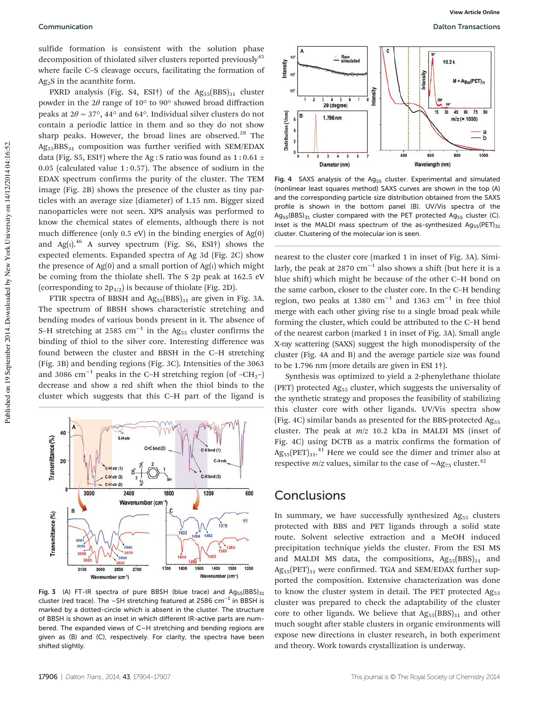sulfide formation is consistent with the solution phase decomposition of thiolated silver clusters reported previously<sup>45</sup> where facile C–S cleavage occurs, facilitating the formation of  $Ag<sub>2</sub>S$  in the acanthite form.

PXRD analysis (Fig. S4, ESI†) of the  $Ag_{55}(BBS)_{31}$  cluster powder in the  $2\theta$  range of 10 $\degree$  to 90 $\degree$  showed broad diffraction peaks at  $2\theta \sim 37^{\circ}$ , 44° and 64°. Individual silver clusters do not contain a periodic lattice in them and so they do not show sharp peaks. However, the broad lines are observed. $28$  The  $Ag_{55}BBS_{31}$  composition was further verified with SEM/EDAX data (Fig. S5, ESI†) where the Ag : S ratio was found as  $1:0.61 \pm$ 0.05 (calculated value  $1:0.57$ ). The absence of sodium in the EDAX spectrum confirms the purity of the cluster. The TEM image (Fig. 2B) shows the presence of the cluster as tiny particles with an average size (diameter) of 1.15 nm. Bigger sized nanoparticles were not seen. XPS analysis was performed to know the chemical states of elements, although there is not much difference (only 0.5 eV) in the binding energies of Ag(0) and Ag( $I$ ).<sup>46</sup> A survey spectrum (Fig. S6, ESI $\dagger$ ) shows the expected elements. Expanded spectra of Ag 3d (Fig. 2C) show the presence of  $Ag(0)$  and a small portion of  $Ag(1)$  which might be coming from the thiolate shell. The S 2p peak at 162.5 eV (corresponding to  $2p_{3/2}$ ) is because of thiolate (Fig. 2D).

FTIR spectra of BBSH and  $Ag_{55}(BBS)_{31}$  are given in Fig. 3A. The spectrum of BBSH shows characteristic stretching and bending modes of various bonds present in it. The absence of S–H stretching at 2585  $cm^{-1}$  in the Ag<sub>55</sub> cluster confirms the binding of thiol to the silver core. Interesting difference was found between the cluster and BBSH in the C–H stretching (Fig. 3B) and bending regions (Fig. 3C). Intensities of the 3063 and 3086 cm−<sup>1</sup> peaks in the C–H stretching region (of –CH2–) decrease and show a red shift when the thiol binds to the cluster which suggests that this C–H part of the ligand is



Fig. 3 (A) FT-IR spectra of pure BBSH (blue trace) and  $Ag_{55}(BBS)_{31}$ cluster (red trace). The –SH stretching featured at 2586 cm−<sup>1</sup> in BBSH is marked by a dotted-circle which is absent in the cluster. The structure of BBSH is shown as an inset in which different IR-active parts are numbered. The expanded views of C–H stretching and bending regions are given as (B) and (C), respectively. For clarity, the spectra have been shifted slightly.



Fig. 4 SAXS analysis of the  $Ag_{55}$  cluster. Experimental and simulated (nonlinear least squares method) SAXS curves are shown in the top (A) and the corresponding particle size distribution obtained from the SAXS profile is shown in the bottom panel (B). UV/Vis spectra of the  $Ag_{55}(BBS)_{31}$  cluster compared with the PET protected Ag<sub>55</sub> cluster (C). Inset is the MALDI mass spectrum of the as-synthesized  $Ag_{55}(PET)_{31}$ cluster. Clustering of the molecular ion is seen.

nearest to the cluster core (marked 1 in inset of Fig. 3A). Similarly, the peak at 2870 cm−<sup>1</sup> also shows a shift (but here it is a blue shift) which might be because of the other C–H bond on the same carbon, closer to the cluster core. In the C–H bending region, two peaks at 1380  $cm^{-1}$  and 1363  $cm^{-1}$  in free thiol merge with each other giving rise to a single broad peak while forming the cluster, which could be attributed to the C–H bend of the nearest carbon (marked 1 in inset of Fig. 3A). Small angle X-ray scattering (SAXS) suggest the high monodispersity of the cluster (Fig. 4A and B) and the average particle size was found to be 1.796 nm (more details are given in ESI 1†).

Synthesis was optimized to yield a 2-phenylethane thiolate (PET) protected Ag<sub>55</sub> cluster, which suggests the universality of the synthetic strategy and proposes the feasibility of stabilizing this cluster core with other ligands. UV/Vis spectra show (Fig. 4C) similar bands as presented for the BBS-protected  $Ag_{55}$ cluster. The peak at *m*/*z* 10.2 kDa in MALDI MS (inset of Fig. 4C) using DCTB as a matrix confirms the formation of  $\text{Ag}_{55}(\text{PET})_{31}$ .<sup>41</sup> Here we could see the dimer and trimer also at respective *m*/*z* values, similar to the case of ~Ag<sub>75</sub> cluster.<sup>42</sup>

#### **Conclusions**

In summary, we have successfully synthesized Ag<sub>55</sub> clusters protected with BBS and PET ligands through a solid state route. Solvent selective extraction and a MeOH induced precipitation technique yields the cluster. From the ESI MS and MALDI MS data, the compositions,  $Ag_{55}(BBS)_{31}$  and  $Ag_{55}(PET)_{31}$  were confirmed. TGA and SEM/EDAX further supported the composition. Extensive characterization was done to know the cluster system in detail. The PET protected  $Ag_{55}$ cluster was prepared to check the adaptability of the cluster core to other ligands. We believe that  $Ag_{55}(BBS)_{31}$  and other much sought after stable clusters in organic environments will expose new directions in cluster research, in both experiment and theory. Work towards crystallization is underway.